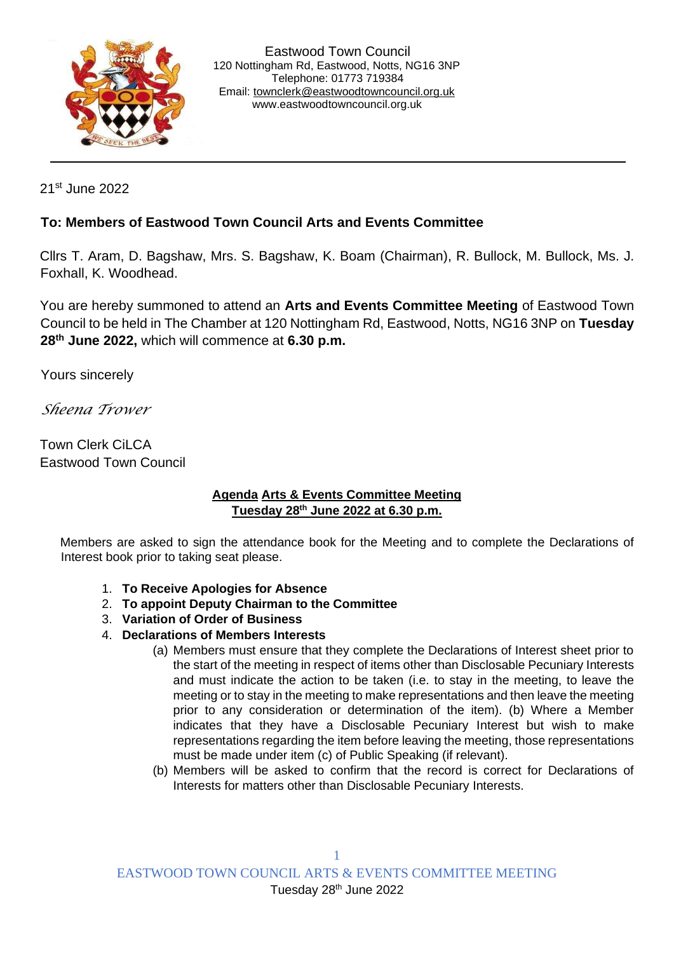

21st June 2022

## **To: Members of Eastwood Town Council Arts and Events Committee**

Cllrs T. Aram, D. Bagshaw, Mrs. S. Bagshaw, K. Boam (Chairman), R. Bullock, M. Bullock, Ms. J. Foxhall, K. Woodhead.

You are hereby summoned to attend an **Arts and Events Committee Meeting** of Eastwood Town Council to be held in The Chamber at 120 Nottingham Rd, Eastwood, Notts, NG16 3NP on **Tuesday 28th June 2022,** which will commence at **6.30 p.m.** 

Yours sincerely

*Sheena Trower* 

Town Clerk CiLCA Eastwood Town Council

## **Agenda Arts & Events Committee Meeting Tuesday 28th June 2022 at 6.30 p.m.**

Members are asked to sign the attendance book for the Meeting and to complete the Declarations of Interest book prior to taking seat please.

- 1. **To Receive Apologies for Absence**
- 2. **To appoint Deputy Chairman to the Committee**
- 3. **Variation of Order of Business**
- 4. **Declarations of Members Interests**
	- (a) Members must ensure that they complete the Declarations of Interest sheet prior to the start of the meeting in respect of items other than Disclosable Pecuniary Interests and must indicate the action to be taken (i.e. to stay in the meeting, to leave the meeting or to stay in the meeting to make representations and then leave the meeting prior to any consideration or determination of the item). (b) Where a Member indicates that they have a Disclosable Pecuniary Interest but wish to make representations regarding the item before leaving the meeting, those representations must be made under item (c) of Public Speaking (if relevant).
	- (b) Members will be asked to confirm that the record is correct for Declarations of Interests for matters other than Disclosable Pecuniary Interests.